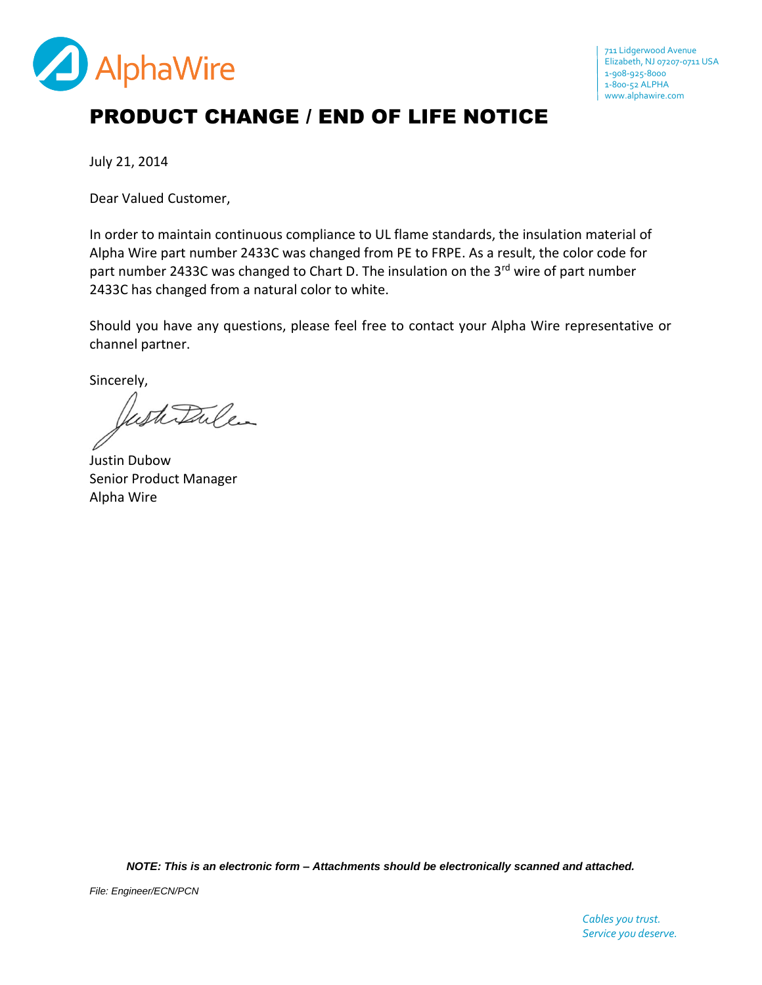

## PRODUCT CHANGE / END OF LIFE NOTICE

July 21, 2014

Dear Valued Customer,

In order to maintain continuous compliance to UL flame standards, the insulation material of Alpha Wire part number 2433C was changed from PE to FRPE. As a result, the color code for part number 2433C was changed to Chart D. The insulation on the 3<sup>rd</sup> wire of part number 2433C has changed from a natural color to white.

Should you have any questions, please feel free to contact your Alpha Wire representative or channel partner.

Sincerely,

Justitulen

Justin Dubow Senior Product Manager Alpha Wire

*NOTE: This is an electronic form – Attachments should be electronically scanned and attached.*

*File: Engineer/ECN/PCN*